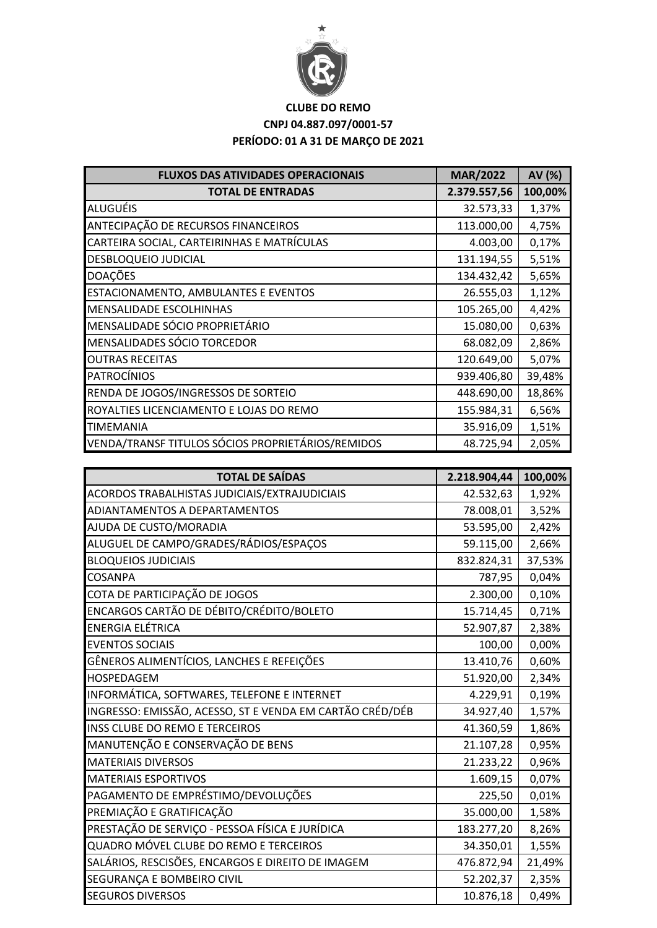

## **CLUBE DO REMO CNPJ 04.887.097/0001-57 PERÍODO: 01 A 31 DE MARÇO DE 2021**

| <b>FLUXOS DAS ATIVIDADES OPERACIONAIS</b>         | <b>MAR/2022</b> | AV (%)  |
|---------------------------------------------------|-----------------|---------|
| <b>TOTAL DE ENTRADAS</b>                          | 2.379.557,56    | 100,00% |
| <b>ALUGUÉIS</b>                                   | 32.573,33       | 1,37%   |
| ANTECIPAÇÃO DE RECURSOS FINANCEIROS               | 113.000,00      | 4,75%   |
| CARTEIRA SOCIAL, CARTEIRINHAS E MATRÍCULAS        | 4.003,00        | 0,17%   |
| <b>DESBLOQUEIO JUDICIAL</b>                       | 131.194,55      | 5,51%   |
| <b>DOAÇÕES</b>                                    | 134.432,42      | 5,65%   |
| ESTACIONAMENTO, AMBULANTES E EVENTOS              | 26.555,03       | 1,12%   |
| MENSALIDADE ESCOLHINHAS                           | 105.265,00      | 4,42%   |
| MENSALIDADE SÓCIO PROPRIETÁRIO                    | 15.080,00       | 0,63%   |
| MENSALIDADES SÓCIO TORCEDOR                       | 68.082,09       | 2,86%   |
| <b>OUTRAS RECEITAS</b>                            | 120.649,00      | 5,07%   |
| <b>PATROCÍNIOS</b>                                | 939.406,80      | 39,48%  |
| RENDA DE JOGOS/INGRESSOS DE SORTEIO               | 448.690,00      | 18,86%  |
| ROYALTIES LICENCIAMENTO E LOJAS DO REMO           | 155.984,31      | 6,56%   |
| <b>TIMEMANIA</b>                                  | 35.916,09       | 1,51%   |
| VENDA/TRANSF TITULOS SÓCIOS PROPRIETÁRIOS/REMIDOS | 48.725,94       | 2,05%   |

| <b>TOTAL DE SAÍDAS</b>                                   | 2.218.904,44 | 100,00% |
|----------------------------------------------------------|--------------|---------|
| ACORDOS TRABALHISTAS JUDICIAIS/EXTRAJUDICIAIS            | 42.532,63    | 1,92%   |
| ADIANTAMENTOS A DEPARTAMENTOS                            | 78.008,01    | 3,52%   |
| AJUDA DE CUSTO/MORADIA                                   | 53.595,00    | 2,42%   |
| ALUGUEL DE CAMPO/GRADES/RÁDIOS/ESPAÇOS                   | 59.115,00    | 2,66%   |
| <b>BLOQUEIOS JUDICIAIS</b>                               | 832.824,31   | 37,53%  |
| COSANPA                                                  | 787,95       | 0,04%   |
| COTA DE PARTICIPAÇÃO DE JOGOS                            | 2.300,00     | 0,10%   |
| ENCARGOS CARTÃO DE DÉBITO/CRÉDITO/BOLETO                 | 15.714,45    | 0,71%   |
| <b>ENERGIA ELÉTRICA</b>                                  | 52.907,87    | 2,38%   |
| <b>EVENTOS SOCIAIS</b>                                   | 100,00       | 0,00%   |
| GÊNEROS ALIMENTÍCIOS, LANCHES E REFEIÇÕES                | 13.410,76    | 0,60%   |
| <b>HOSPEDAGEM</b>                                        | 51.920,00    | 2,34%   |
| INFORMÁTICA, SOFTWARES, TELEFONE E INTERNET              | 4.229,91     | 0,19%   |
| INGRESSO: EMISSÃO, ACESSO, ST E VENDA EM CARTÃO CRÉD/DÉB | 34.927,40    | 1,57%   |
| <b>INSS CLUBE DO REMO E TERCEIROS</b>                    | 41.360,59    | 1,86%   |
| MANUTENÇÃO E CONSERVAÇÃO DE BENS                         | 21.107,28    | 0,95%   |
| <b>MATERIAIS DIVERSOS</b>                                | 21.233,22    | 0,96%   |
| <b>MATERIAIS ESPORTIVOS</b>                              | 1.609,15     | 0,07%   |
| PAGAMENTO DE EMPRÉSTIMO/DEVOLUÇÕES                       | 225,50       | 0,01%   |
| PREMIAÇÃO E GRATIFICAÇÃO                                 | 35.000,00    | 1,58%   |
| PRESTAÇÃO DE SERVIÇO - PESSOA FÍSICA E JURÍDICA          | 183.277,20   | 8,26%   |
| QUADRO MÓVEL CLUBE DO REMO E TERCEIROS                   | 34.350,01    | 1,55%   |
| SALÁRIOS, RESCISÕES, ENCARGOS E DIREITO DE IMAGEM        | 476.872,94   | 21,49%  |
| SEGURANÇA E BOMBEIRO CIVIL                               | 52.202,37    | 2,35%   |
| <b>SEGUROS DIVERSOS</b>                                  | 10.876,18    | 0,49%   |